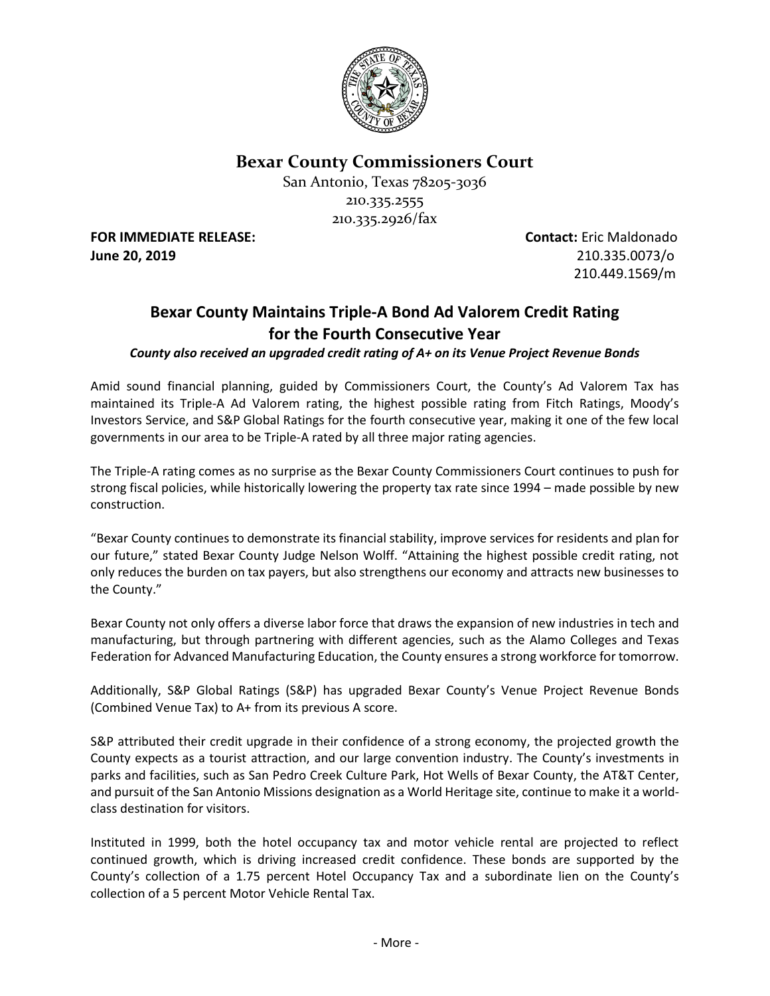

**Bexar County Commissioners Court**

San Antonio, Texas 78205-3036 210.335.2555 210.335.2926/fax

**June 20, 2019** 210.335.0073/o

**FOR IMMEDIATE RELEASE: Contact:** Eric Maldonado 210.449.1569/m

## **Bexar County Maintains Triple-A Bond Ad Valorem Credit Rating for the Fourth Consecutive Year**

*County also received an upgraded credit rating of A+ on its Venue Project Revenue Bonds*

Amid sound financial planning, guided by Commissioners Court, the County's Ad Valorem Tax has maintained its Triple-A Ad Valorem rating, the highest possible rating from Fitch Ratings, Moody's Investors Service, and S&P Global Ratings for the fourth consecutive year, making it one of the few local governments in our area to be Triple-A rated by all three major rating agencies.

The Triple-A rating comes as no surprise as the Bexar County Commissioners Court continues to push for strong fiscal policies, while historically lowering the property tax rate since 1994 – made possible by new construction.

"Bexar County continues to demonstrate its financial stability, improve services for residents and plan for our future," stated Bexar County Judge Nelson Wolff. "Attaining the highest possible credit rating, not only reduces the burden on tax payers, but also strengthens our economy and attracts new businesses to the County."

Bexar County not only offers a diverse labor force that draws the expansion of new industries in tech and manufacturing, but through partnering with different agencies, such as the Alamo Colleges and Texas Federation for Advanced Manufacturing Education, the County ensures a strong workforce for tomorrow.

Additionally, S&P Global Ratings (S&P) has upgraded Bexar County's Venue Project Revenue Bonds (Combined Venue Tax) to A+ from its previous A score.

S&P attributed their credit upgrade in their confidence of a strong economy, the projected growth the County expects as a tourist attraction, and our large convention industry. The County's investments in parks and facilities, such as San Pedro Creek Culture Park, Hot Wells of Bexar County, the AT&T Center, and pursuit of the San Antonio Missions designation as a World Heritage site, continue to make it a worldclass destination for visitors.

Instituted in 1999, both the hotel occupancy tax and motor vehicle rental are projected to reflect continued growth, which is driving increased credit confidence. These bonds are supported by the County's collection of a 1.75 percent Hotel Occupancy Tax and a subordinate lien on the County's collection of a 5 percent Motor Vehicle Rental Tax.